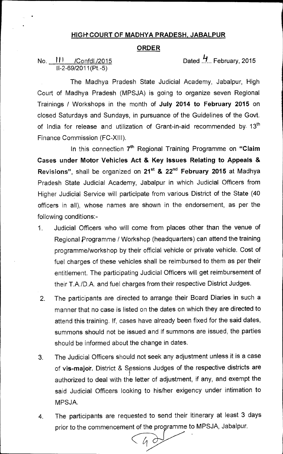## **HIGH COURT OF MADHYA PRADESH, JABALPUR**

## **ORDER**

## II-2-69/2011(Pt.-5)

No. 111 /Confdl./2015 Dated 1. February, 2015

The Madhya Pradesh State Judicial Academy, Jabalpur, High Court of Madhya Pradesh (MPSJA) is going to organize seven Regional Trainings / Workshops in the month of **July 2014 to February 2015** on closed Saturdays and Sundays, in pursuance of the Guidelines of the Govt. of India for release and utilization of Grant-in-aid recommended by 13<sup>th</sup> Finance Commission (FC-XIII).

In this connection 7<sup>th</sup> Regional Training Programme on "Claim **Cases under Motor Vehicles Act & Key Issues Relating to Appeals &**  Revisions", shall be organized on 21<sup>st</sup> & 22<sup>nd</sup> February 2015 at Madhya Pradesh State Judicial Academy, Jabalpur in which Judicial Officers from Higher Judicial Service will participate from various District of the State (40 officers in all), whose names are shown in the endorsement, as per the following conditions:-

- 1. Judicial Officers who will come from places other than the venue of Regional Programme / Workshop (headquarters) can attend the training programme/workshop by their official vehicle or private vehicle. Cost of fuel charges of these vehicles shall be reimbursed to them as per their entitlement. The participating Judicial Officers will get reimbursement of their T.A./D.A. and fuel charges from their respective District Judges.
- 2. The participants are directed to arrange their Board Diaries in such a manner that no case is listed on the dates on which they are directed to attend this training. If, cases have already been fixed for the said dates, summons should not be issued and if summons are issued, the parties should be informed about the change in dates.
- 3. The Judicial Officers should not seek any adjustment unless it is a case of vis-major. District & Sessions Judges of the respective districts are authorized to deal with the letter of adjustment, if any, and exempt the said Judicial Officers looking to his/her exigency under intimation to MPSJA.
- 4. The participants are requested to send their itinerary at least 3 days prior to the commencement of the programme to MPSJA, Jabalpur.

 $\mathcal{U}$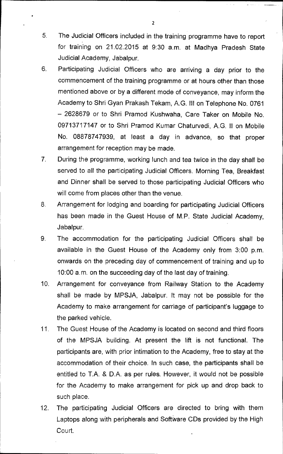- 5. The Judicial Officers included in the training programme have to report for training on 21.02.2015 at 9:30 am. at Madhya Pradesh State Judicial Academy, Jabalpur.
- 6. Participating Judicial Officers who are arriving a day prior to the commencement of the training programme or at hours other than those mentioned above or by a different mode of conveyance, may inform the Academy to Shri Gyan Prakash Tekam, A.G. III on Telephone No. 0761 — 2628679 or to Shri Pramod Kushwaha, Care Taker on Mobile No. 09713717147 or to Shri Pramod Kumar Chaturvedi, A.G. ll on Mobile No. 08878747939, at least a day in advance, so that proper arrangement for reception may be made.
- 7. During the programme, working lunch and tea twice in the day shall be served to all the participating Judicial Officers. Morning Tea, Breakfast and Dinner shall be served to those participating Judicial Officers who will come from places other than the venue.
- 8. Arrangement for lodging and boarding for participating Judicial Officers has been made in the Guest House of M.P. State Judicial Academy, Jabalpur.
- 9. The accommodation for the participating Judicial Officers shall be available in the Guest House of the Academy only from 3:00 p.m. onwards on the preceding day of commencement of training and up to 10:00 a.m. on the succeeding day of the last day of training.
- 10. Arrangement for conveyance from Railway Station to the Academy shall be made by MPSJA, Jabalpur. It may not be possible for the Academy to make arrangement for carriage of participant's luggage to the parked vehicle.
- 11. The Guest House of the Academy is located on second and third floors of the MPSJA building. At present the lift is not functional. The participants are, with prior intimation to the Academy, free to stay at the accommodation of their choice. In such case, the participants shall be entitled to T.A. & D.A. as per rules. However, it would not be possible for the Academy to make arrangement for pick up and drop back to such place.
- 12. The participating Judicial Officers are directed to bring with them Laptops along with peripherals and Software CDs provided by the High Court.

2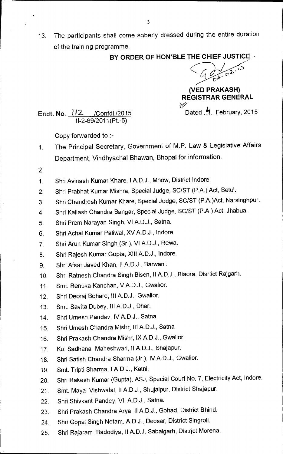13. The participants shall come soberly dressed during the entire duration of the training programme.

**BY ORDER OF HON'BLE THE CHIEF JUSTICE •** 

I.D  $v^{\prime\prime}$ 

**(VED PRAKASH) REGISTRAR GENERAL** 

NÝ

**Endt. No. <u>112 /Confdl./2015</u>** Dated ... February, 2015 II-2-69/2011(Pt.-5)

Copy forwarded to :-

- 1. The Principal Secretary, Government of M.P. Law & Legislative Affairs Department, Vindhyachal Bhawan, Bhopal for information.
- 2.
- 1. Shri Avinash Kumar Khare, I A.D.J., Mhow, District Indore.
- 2. Shri Prabhat Kumar Mishra, Special Judge, SC/ST (P.A.) Act, Betul.
- 3. Shri Chandresh Kumar Khare, Special Judge, SC/ST (P.A.)Act, Narsinghpur.
- 4. Shri Kailash Chandra Bangar, Special Judge, SC/ST (P.A.) Act, Jhabua.
- 5. Shri Prem Narayan Singh, VI A.D.J., Satna.
- 6. Shri Achal Kumar Paliwal, XV A.D.J., Indore.
- 7. Shri Arun Kumar Singh (Sr.), VI A.D.J., Rewa.
- 8. Shri Rajesh Kumar Gupta, XIII A.D.J., Indore.
- 9. Shri Afsar Javed Khan, II A.D.J., Barwani.
- 10. Shri Ratnesh Chandra Singh Bisen, II A.D.J., Biaora, Disrtict Rajgarh.
- 11. Smt. Renuka Kanchan, V A.D.J., Gwalior.
- 12. Shri Deoraj Bohare, Ill A.D.J., Gwalior.
- 13. Smt. Savita Dubey, Ill A.D.J., Dhar.
- 14. Shri Umesh Pandav, IV A.D.J., Satna.
- 15. Shri Umesh Chandra Mishr, III A.D.J., Satna
- 16. Shri Prakash Chandra Mishr, IX A.D.J., Gwalior.
- 17. Ku. Sadhana Maheshwari, II A.D.J., Shajapur.
- 18. Shri Satish Chandra Sharma (Jr.), IV A.D.J., Gwalior.
- 19. Smt. Tripti Sharma, I A.D.J., Katni.
- 20. Shri Rakesh Kumar (Gupta), ASJ, Special Court No. 7, Electricity Act, Indore.
- 21. Smt. Maya Vishwalal, II A.D.J., Shujalpur, District Shajapur.
- 22. Shri Shivkant Pandey, VII A.D.J., Satna.
- 23. Shri Prakash Chandra Arya, II A.D.J., Gohad, District Bhind.
- 24. Shri Gopal Singh Netam, A.D.J., Deosar, District Singroli.
- 25. Shri Rajaram Badodiya, II A.D.J. Sabalgarh, District Morena.